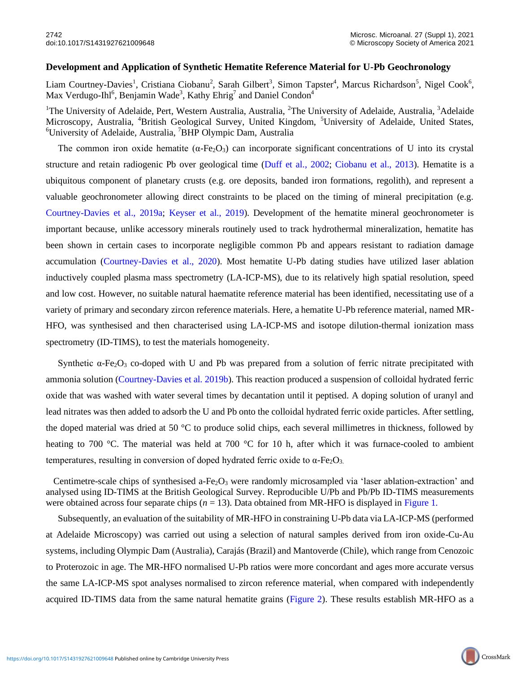## **Development and Application of Synthetic Hematite Reference Material for U-Pb Geochronology**

Liam Courtney-Davies<sup>1</sup>, Cristiana Ciobanu<sup>2</sup>, Sarah Gilbert<sup>3</sup>, Simon Tapster<sup>4</sup>, Marcus Richardson<sup>5</sup>, Nigel Cook<sup>6</sup>, Max Verdugo-Ihl<sup>6</sup>, Benjamin Wade<sup>3</sup>, Kathy Ehrig<sup>7</sup> and Daniel Condon<sup>4</sup>

<sup>1</sup>The University of Adelaide, Pert, Western Australia, Australia, <sup>2</sup>The University of Adelaide, Australia, <sup>3</sup>Adelaide Microscopy, Australia, <sup>4</sup>British Geological Survey, United Kingdom, <sup>5</sup>University of Adelaide, United States, <sup>6</sup>University of Adelaide, Australia, <sup>7</sup>BHP Olympic Dam, Australia

The common iron oxide hematite ( $\alpha$ -Fe<sub>2</sub>O<sub>3</sub>) can incorporate significant concentrations of U into its crystal structure and retain radiogenic Pb over geological time (Duff et al., 2002; Ciobanu et al., 2013). Hematite is a ubiquitous component of planetary crusts (e.g. ore deposits, banded iron formations, regolith), and represent a valuable geochronometer allowing direct constraints to be placed on the timing of mineral precipitation (e.g. Courtney-Davies et al., 2019a; Keyser et al., 2019). Development of the hematite mineral geochronometer is important because, unlike accessory minerals routinely used to track hydrothermal mineralization, hematite has been shown in certain cases to incorporate negligible common Pb and appears resistant to radiation damage accumulation (Courtney-Davies et al., 2020). Most hematite U-Pb dating studies have utilized laser ablation inductively coupled plasma mass spectrometry (LA-ICP-MS), due to its relatively high spatial resolution, speed and low cost. However, no suitable natural haematite reference material has been identified, necessitating use of a variety of primary and secondary zircon reference materials. Here, a hematite U-Pb reference material, named MR-HFO, was synthesised and then characterised using LA-ICP-MS and isotope dilution-thermal ionization mass spectrometry (ID-TIMS), to test the materials homogeneity.

Synthetic α-Fe<sub>2</sub>O<sub>3</sub> co-doped with U and Pb was prepared from a solution of ferric nitrate precipitated with ammonia solution (Courtney-Davies et al. 2019b). This reaction produced a suspension of colloidal hydrated ferric oxide that was washed with water several times by decantation until it peptised. A doping solution of uranyl and lead nitrates was then added to adsorb the U and Pb onto the colloidal hydrated ferric oxide particles. After settling, the doped material was dried at 50 °C to produce solid chips, each several millimetres in thickness, followed by heating to 700 °C. The material was held at 700 °C for 10 h, after which it was furnace-cooled to ambient temperatures, resulting in conversion of doped hydrated ferric oxide to  $α$ -Fe<sub>2</sub>O<sub>3</sub>.

Centimetre-scale chips of synthesised a-Fe<sub>2</sub>O<sub>3</sub> were randomly microsampled via 'laser ablation-extraction' and analysed using ID-TIMS at the British Geological Survey. Reproducible U/Pb and Pb/Pb ID-TIMS measurements were obtained across four separate chips ( $n = 13$ ). Data obtained from MR-HFO is displayed in Figure 1.

Subsequently, an evaluation of the suitability of MR-HFO in constraining U-Pb data via LA-ICP-MS (performed at Adelaide Microscopy) was carried out using a selection of natural samples derived from iron oxide-Cu-Au systems, including Olympic Dam (Australia), Carajás (Brazil) and Mantoverde (Chile), which range from Cenozoic to Proterozoic in age. The MR-HFO normalised U-Pb ratios were more concordant and ages more accurate versus the same LA-ICP-MS spot analyses normalised to zircon reference material, when compared with independently acquired ID-TIMS data from the same natural hematite grains (Figure 2). These results establish MR-HFO as a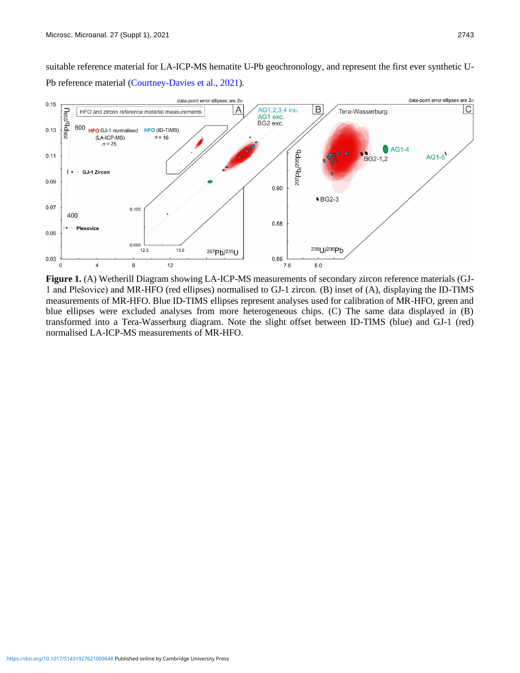suitable reference material for LA-ICP-MS hematite U-Pb geochronology, and represent the first ever synthetic U-Pb reference material (Courtney-Davies et al., 2021).



**Figure 1.** (A) Wetherill Diagram showing LA-ICP-MS measurements of secondary zircon reference materials (GJ-1 and Plešovice) and MR-HFO (red ellipses) normalised to GJ-1 zircon. (B) inset of (A), displaying the ID-TIMS measurements of MR-HFO. Blue ID-TIMS ellipses represent analyses used for calibration of MR-HFO, green and blue ellipses were excluded analyses from more heterogeneous chips. (C) The same data displayed in (B) transformed into a Tera-Wasserburg diagram. Note the slight offset between ID-TIMS (blue) and GJ-1 (red) normalised LA-ICP-MS measurements of MR-HFO.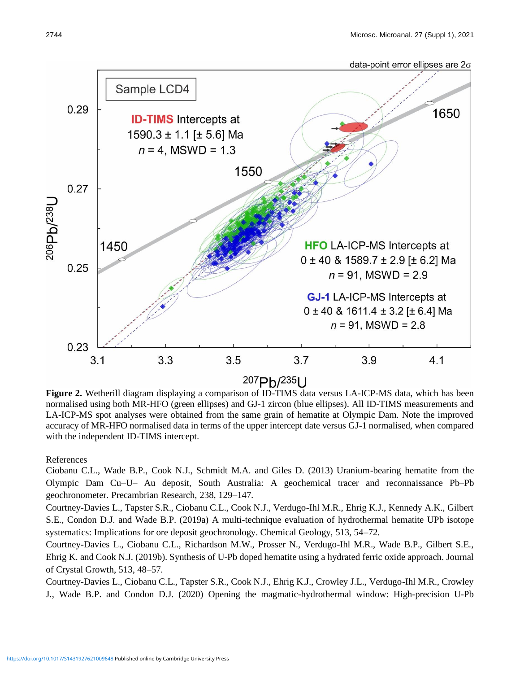

**Figure 2.** Wetherill diagram displaying a comparison of ID-TIMS data versus LA-ICP-MS data, which has been normalised using both MR-HFO (green ellipses) and GJ-1 zircon (blue ellipses). All ID-TIMS measurements and LA-ICP-MS spot analyses were obtained from the same grain of hematite at Olympic Dam. Note the improved accuracy of MR-HFO normalised data in terms of the upper intercept date versus GJ-1 normalised, when compared with the independent ID-TIMS intercept.

References

Ciobanu C.L., Wade B.P., Cook N.J., Schmidt M.A. and Giles D. (2013) Uranium-bearing hematite from the Olympic Dam Cu–U– Au deposit, South Australia: A geochemical tracer and reconnaissance Pb–Pb geochronometer. Precambrian Research, 238, 129–147.

Courtney-Davies L., Tapster S.R., Ciobanu C.L., Cook N.J., Verdugo-Ihl M.R., Ehrig K.J., Kennedy A.K., Gilbert S.E., Condon D.J. and Wade B.P. (2019a) A multi-technique evaluation of hydrothermal hematite UPb isotope systematics: Implications for ore deposit geochronology. Chemical Geology, 513, 54–72.

Courtney-Davies L., Ciobanu C.L., Richardson M.W., Prosser N., Verdugo-Ihl M.R., Wade B.P., Gilbert S.E., Ehrig K. and Cook N.J. (2019b). Synthesis of U-Pb doped hematite using a hydrated ferric oxide approach. Journal of Crystal Growth, 513, 48–57.

Courtney-Davies L., Ciobanu C.L., Tapster S.R., Cook N.J., Ehrig K.J., Crowley J.L., Verdugo-Ihl M.R., Crowley J., Wade B.P. and Condon D.J. (2020) Opening the magmatic-hydrothermal window: High-precision U-Pb